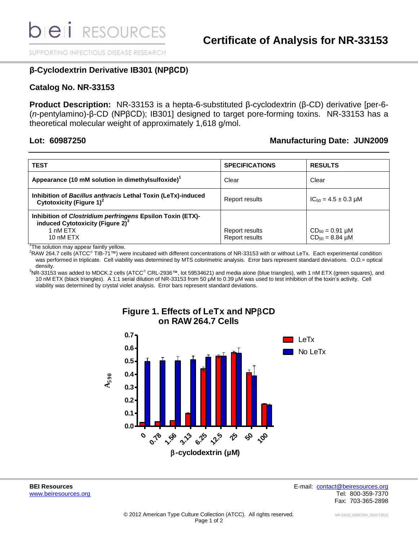SUPPORTING INFECTIOUS DISEASE RESEARCH

## **β-Cyclodextrin Derivative IB301 (NPβCD)**

### **Catalog No. NR-33153**

**Product Description:** NR-33153 is a hepta-6-substituted β-cyclodextrin (β-CD) derivative [per-6- (*n*-pentylamino)-β-CD (NPβCD); IB301] designed to target pore-forming toxins. NR-33153 has a theoretical molecular weight of approximately 1,618 g/mol.

### **Lot: 60987250 Manufacturing Date: JUN2009**

| <b>TEST</b>                                                                                                                                | <b>SPECIFICATIONS</b>            | <b>RESULTS</b>                                   |
|--------------------------------------------------------------------------------------------------------------------------------------------|----------------------------------|--------------------------------------------------|
| Appearance (10 mM solution in dimethylsulfoxide) <sup>1</sup>                                                                              | Clear                            | Clear                                            |
| Inhibition of Bacillus anthracis Lethal Toxin (LeTx)-induced<br>Cytotoxicity (Figure 1) <sup>2</sup>                                       | Report results                   | $IC_{50} = 4.5 \pm 0.3 \mu M$                    |
| Inhibition of <i>Clostridium perfringens</i> Epsilon Toxin (ETX)-<br>induced Cytotoxicity (Figure 2) <sup>3</sup><br>1 nM ETX<br>10 nM ETX | Report results<br>Report results | $CD_{50} = 0.91 \mu M$<br>$CD_{50} = 8.84 \mu M$ |

<sup>1</sup>The solution may appear faintly yellow.

 ${}^{2}$ RAW 264.7 cells (ATCC<sup>®</sup> TIB-71™) were incubated with different concentrations of NR-33153 with or without LeTx. Each experimental condition was performed in triplicate. Cell viability was determined by MTS colorimetric analysis. Error bars represent standard deviations. O.D.= optical density.

 $3NR-33153$  was added to MDCK.2 cells (ATCC<sup>®</sup> CRL-2936™, lot 59534621) and media alone (blue triangles), with 1 nM ETX (green squares), and 10 nM ETX (black triangles). A 1:1 serial dilution of NR-33153 from 50 µM to 0.39 µM was used to test inhibition of the toxin's activity. Cell viability was determined by crystal violet analysis. Error bars represent standard deviations.



# **Figure 1. Effects of LeTx and NPCD on RAW 264.7 Cells**